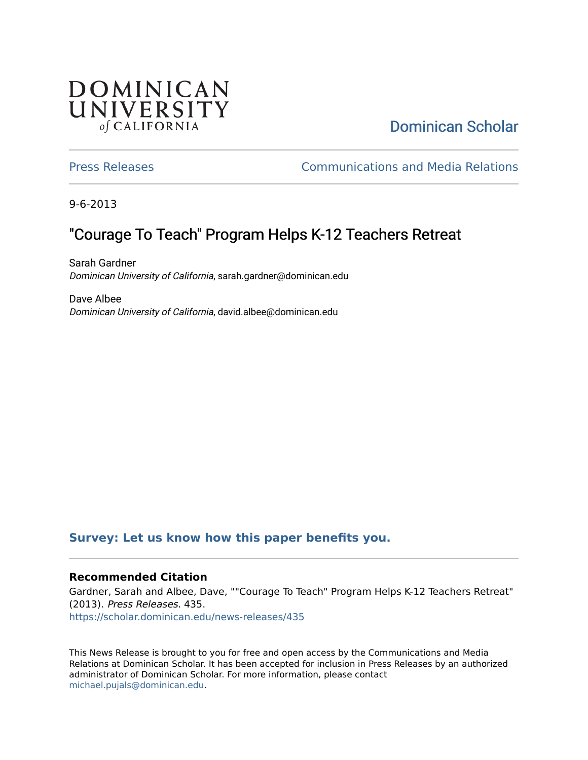## **DOMINICAN** UNIVERSITY of CALIFORNIA

## [Dominican Scholar](https://scholar.dominican.edu/)

[Press Releases](https://scholar.dominican.edu/news-releases) [Communications and Media Relations](https://scholar.dominican.edu/communications-media) 

9-6-2013

# "Courage To Teach" Program Helps K-12 Teachers Retreat

Sarah Gardner Dominican University of California, sarah.gardner@dominican.edu

Dave Albee Dominican University of California, david.albee@dominican.edu

### **[Survey: Let us know how this paper benefits you.](https://dominican.libwizard.com/dominican-scholar-feedback)**

#### **Recommended Citation**

Gardner, Sarah and Albee, Dave, ""Courage To Teach" Program Helps K-12 Teachers Retreat" (2013). Press Releases. 435. [https://scholar.dominican.edu/news-releases/435](https://scholar.dominican.edu/news-releases/435?utm_source=scholar.dominican.edu%2Fnews-releases%2F435&utm_medium=PDF&utm_campaign=PDFCoverPages)

This News Release is brought to you for free and open access by the Communications and Media Relations at Dominican Scholar. It has been accepted for inclusion in Press Releases by an authorized administrator of Dominican Scholar. For more information, please contact [michael.pujals@dominican.edu.](mailto:michael.pujals@dominican.edu)